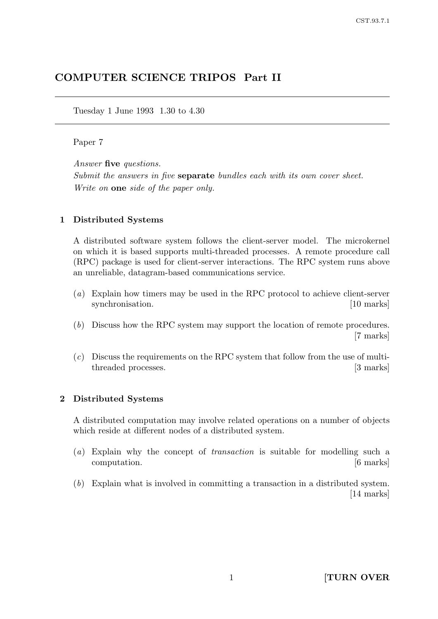# COMPUTER SCIENCE TRIPOS Part II

Tuesday 1 June 1993 1.30 to 4.30

## Paper 7

Answer five questions.

Submit the answers in five **separate** bundles each with its own cover sheet. Write on **one** side of the paper only.

## 1 Distributed Systems

A distributed software system follows the client-server model. The microkernel on which it is based supports multi-threaded processes. A remote procedure call (RPC) package is used for client-server interactions. The RPC system runs above an unreliable, datagram-based communications service.

- (a) Explain how timers may be used in the RPC protocol to achieve client-server synchronisation. [10 marks]
- (b) Discuss how the RPC system may support the location of remote procedures. [7 marks]
- $(c)$  Discuss the requirements on the RPC system that follow from the use of multithreaded processes. [3 marks]

## 2 Distributed Systems

A distributed computation may involve related operations on a number of objects which reside at different nodes of a distributed system.

- (a) Explain why the concept of transaction is suitable for modelling such a computation. [6 marks]
- (b) Explain what is involved in committing a transaction in a distributed system. [14 marks]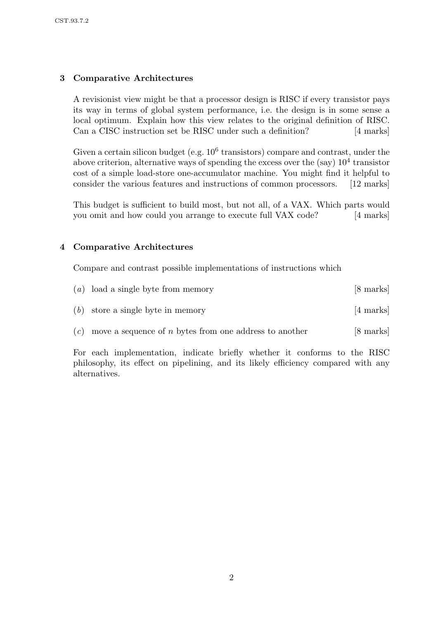## 3 Comparative Architectures

A revisionist view might be that a processor design is RISC if every transistor pays its way in terms of global system performance, i.e. the design is in some sense a local optimum. Explain how this view relates to the original definition of RISC. Can a CISC instruction set be RISC under such a definition? [4 marks]

Given a certain silicon budget (e.g.  $10^6$  transistors) compare and contrast, under the above criterion, alternative ways of spending the excess over the  $(say)$   $10<sup>4</sup>$  transistor cost of a simple load-store one-accumulator machine. You might find it helpful to consider the various features and instructions of common processors. [12 marks]

This budget is sufficient to build most, but not all, of a VAX. Which parts would you omit and how could you arrange to execute full VAX code? [4 marks]

## 4 Comparative Architectures

Compare and contrast possible implementations of instructions which

| $(a)$ load a single byte from memory                                | [8 marks] |
|---------------------------------------------------------------------|-----------|
| $(b)$ store a single byte in memory                                 | [4 marks] |
| $(c)$ move a sequence of <i>n</i> bytes from one address to another | [8 marks] |

For each implementation, indicate briefly whether it conforms to the RISC philosophy, its effect on pipelining, and its likely efficiency compared with any alternatives.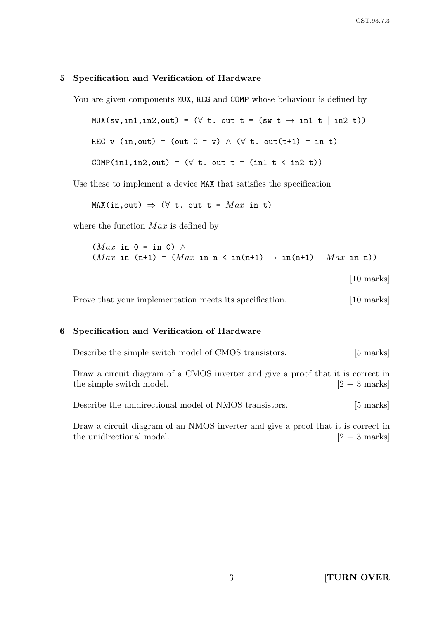## 5 Specification and Verification of Hardware

You are given components MUX, REG and COMP whose behaviour is defined by

 $MUX(sw, in1, in2, out) = (\forall t. out t = (sw t \rightarrow in1 t | in2 t))$ REG v (in, out) = (out  $0 = v$ )  $\wedge$  ( $\forall$  t. out(t+1) = in t) COMP(in1,in2,out) =  $(\forall t. \text{ out } t = (int t < in2 t))$ 

Use these to implement a device MAX that satisfies the specification

MAX(in, out)  $\Rightarrow$  ( $\forall$  t. out t = Max in t)

where the function  $Max$  is defined by

 $(Max \text{ in } 0 = \text{ in } 0)$  ∧  $(Max \text{ in } (n+1) = (Max \text{ in } n < \text{ in}(n+1) \rightarrow \text{ in}(n+1) | Max \text{ in } n))$ [10 marks]

Prove that your implementation meets its specification. [10 marks]

#### 6 Specification and Verification of Hardware

| Describe the simple switch model of CMOS transistors.                                                        | $[5 \text{ marks}]$ |
|--------------------------------------------------------------------------------------------------------------|---------------------|
| Draw a circuit diagram of a CMOS inverter and give a proof that it is correct in<br>the simple switch model. | $[2+3$ marks        |

Describe the unidirectional model of NMOS transistors. [5 marks]

Draw a circuit diagram of an NMOS inverter and give a proof that it is correct in the unidirectional model.  $[2 + 3 \text{ marks}]$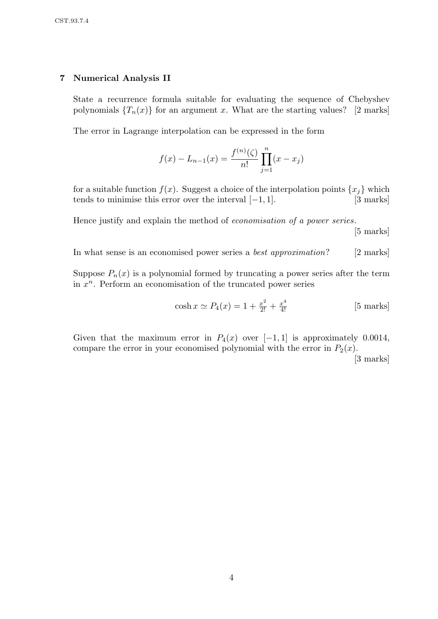## 7 Numerical Analysis II

State a recurrence formula suitable for evaluating the sequence of Chebyshev polynomials  ${T_n(x)}$  for an argument x. What are the starting values? [2 marks]

The error in Lagrange interpolation can be expressed in the form

$$
f(x) - L_{n-1}(x) = \frac{f^{(n)}(\zeta)}{n!} \prod_{j=1}^{n} (x - x_j)
$$

for a suitable function  $f(x)$ . Suggest a choice of the interpolation points  $\{x_i\}$  which tends to minimise this error over the interval  $[-1, 1]$ . [3 marks]

Hence justify and explain the method of economisation of a power series.

[5 marks]

In what sense is an economised power series a *best approximation*? [2 marks]

Suppose  $P_n(x)$  is a polynomial formed by truncating a power series after the term in  $x^n$ . Perform an economisation of the truncated power series

$$
\cosh x \simeq P_4(x) = 1 + \frac{x^2}{2!} + \frac{x^4}{4!}
$$
 [5 marks]

Given that the maximum error in  $P_4(x)$  over [−1, 1] is approximately 0.0014, compare the error in your economised polynomial with the error in  $P_2(x)$ .

[3 marks]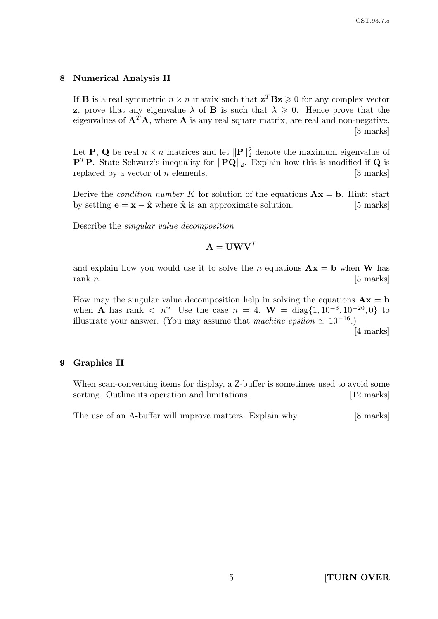#### 8 Numerical Analysis II

If **B** is a real symmetric  $n \times n$  matrix such that  $\bar{\mathbf{z}}^T \mathbf{B} \mathbf{z} \geq 0$  for any complex vector **z**, prove that any eigenvalue  $\lambda$  of **B** is such that  $\lambda \geq 0$ . Hence prove that the eigenvalues of  $A^T A$ , where A is any real square matrix, are real and non-negative. [3 marks]

Let **P**, **Q** be real  $n \times n$  matrices and let  $\|\mathbf{P}\|_2^2$  denote the maximum eigenvalue of **P<sup>T</sup>P**. State Schwarz's inequality for  $\|\mathbf{PQ}\|_2$ . Explain how this is modified if **Q** is replaced by a vector of n elements.  $[3 \text{ marks}]$ 

Derive the *condition number* K for solution of the equations  $\mathbf{A}\mathbf{x} = \mathbf{b}$ . Hint: start by setting  $\mathbf{e} = \mathbf{x} - \hat{\mathbf{x}}$  where  $\hat{\mathbf{x}}$  is an approximate solution. [5 marks]

Describe the singular value decomposition

$$
\mathbf{A} = \mathbf{U}\mathbf{W}\mathbf{V}^T
$$

and explain how you would use it to solve the n equations  $\mathbf{A}\mathbf{x} = \mathbf{b}$  when W has rank  $n$ . [5 marks]

How may the singular value decomposition help in solving the equations  $\mathbf{A}\mathbf{x} = \mathbf{b}$ when **A** has rank  $\langle n^2 \rangle$  Use the case  $n = 4$ , **W** = diag $\{1, 10^{-3}, 10^{-20}, 0\}$  to illustrate your answer. (You may assume that machine epsilon  $\simeq 10^{-16}$ .) [4 marks]

#### 9 Graphics II

When scan-converting items for display, a Z-buffer is sometimes used to avoid some sorting. Outline its operation and limitations. [12 marks]

The use of an A-buffer will improve matters. Explain why. [8 marks]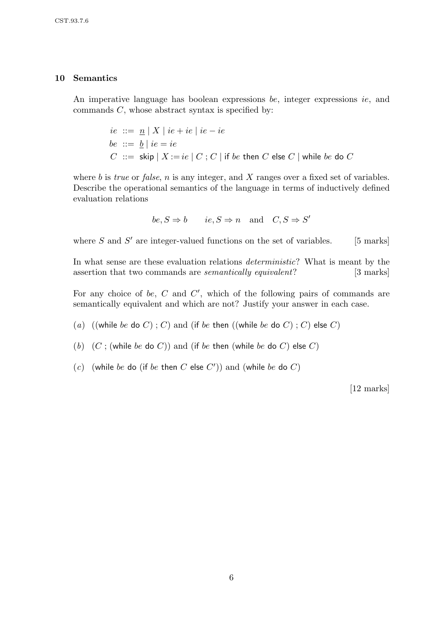## 10 Semantics

An imperative language has boolean expressions be, integer expressions ie, and commands  $C$ , whose abstract syntax is specified by:

$$
ie ::= \underline{n} | X | ie + ie | ie - ie
$$
  
be ::=  $\underline{b} | ie = ie$   
 $C ::= \text{skip} | X := ie | C ; C | \text{ if } be \text{ then } C \text{ else } C | \text{ while } be \text{ do } C$ 

where b is *true* or *false*,  $n$  is any integer, and  $X$  ranges over a fixed set of variables. Describe the operational semantics of the language in terms of inductively defined evaluation relations

$$
be, S \Rightarrow b \qquad ie, S \Rightarrow n \quad \text{and} \quad C, S \Rightarrow S'
$$

where  $S$  and  $S'$  are integer-valued functions on the set of variables. [5 marks]

In what sense are these evaluation relations *deterministic*? What is meant by the assertion that two commands are *semantically equivalent*? [3 marks]

For any choice of be,  $C$  and  $C'$ , which of the following pairs of commands are semantically equivalent and which are not? Justify your answer in each case.

(a) ((while be do C); C) and (if be then ((while be do C); C) else C)

(b)  $(C;$  (while be do C)) and (if be then (while be do C) else C)

(c) (while be do (if be then C else  $C'$ )) and (while be do  $C$ )

[12 marks]